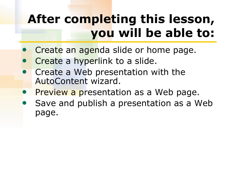# **After completing this lesson, you will be able to:**

- Create an agenda slide or home page.
- Create a hyperlink to a slide.
- **Create a Web presentation with the** AutoContent wizard.
- **Preview a presentation as a Web page.**
- Save and publish a presentation as a Web page.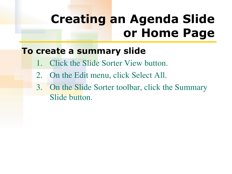# **Creating an Agenda Slide or Home Page**

#### **To create a summary slide**

- **Click the Slide Sorter View button.**
- 2. On the Edit menu, click Select All.
- 3. On the Slide Sorter toolbar, click the Summary Slide button.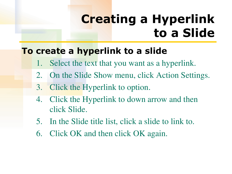# **Creating a Hyperlink to a Slide**

### **To create a hyperlink to a slide**

- 1. Select the text that you want as a hyperlink.
- 2. On the Slide Show menu, click Action Settings.
- 3. Click the Hyperlink to option.
- 4. Click the Hyperlink to down arrow and then click Slide.
- 5. In the Slide title list, click a slide to link to.
- 6. Click OK and then click OK again.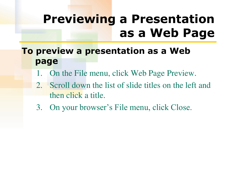### **Previewing a Presentation as a Web Page**

### **To preview a presentation as a Web page**

- 1. On the File menu, click Web Page Preview.
- 2. Scroll down the list of slide titles on the left and then click a title.
- 3. On your browser's File menu, click Close.